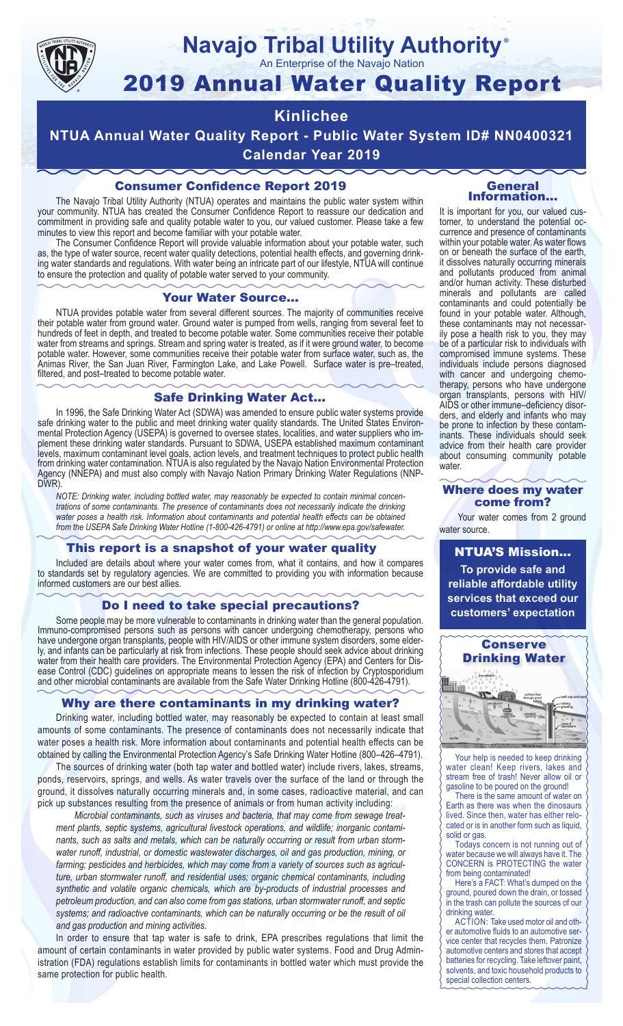

#### **Navajo Tribal Utility Authority** ®

An Enterprise of the Navajo Nation

# 2019 Annual Water Quality Report

#### **Kinlichee**

**NTUA Annual Water Quality Report - Public Water System ID# NN0400321 Calendar Year 2019**

#### Consumer Confidence Report 2019

The Navajo Tribal Utility Authority (NTUA) operates and maintains the public water system within your community. NTUA has created the Consumer Confidence Report to reassure our dedication and commitment in providing safe and quality potable water to you, our valued customer. Please take a few minutes to view this report and become familiar with your potable water.

The Consumer Confidence Report will provide valuable information about your potable water, such as, the type of water source, recent water quality detections, potential health effects, and governing drinking water standards and regulations. With water being an intricate part of our lifestyle, NTUA will continue to ensure the protection and quality of potable water served to your community.

#### Your Water Source…

NTUA provides potable water from several different sources. The majority of communities receive their potable water from ground water. Ground water is pumped from wells, ranging from several feet to hundreds of feet in depth, and treated to become potable water. Some communities receive their potable water from streams and springs. Stream and spring water is treated, as if it were ground water, to become potable water. However, some communities receive their potable water from surface water, such as, the Animas River, the San Juan River, Farmington Lake, and Lake Powell. Surface water is pre–treated, filtered, and post–treated to become potable water.

#### Safe Drinking Water Act…

In 1996, the Safe Drinking Water Act (SDWA) was amended to ensure public water systems provide safe drinking water to the public and meet drinking water quality standards. The United States Environmental Protection Agency (USEPA) is governed to oversee states, localities, and water suppliers who implement these drinking water standards. Pursuant to SDWA, USEPA established maximum contaminant levels, maximum contaminant level goals, action levels, and treatment techniques to protect public health from drinking water contamination. NTUA is also regulated by the Navajo Nation Environmental Protection Agency (NNEPA) and must also comply with Navajo Nation Primary Drinking Water Regulations (NNP-DWR)

*NOTE: Drinking water, including bottled water, may reasonably be expected to contain minimal concentrations of some contaminants. The presence of contaminants does not necessarily indicate the drinking water poses a health risk. Information about contaminants and potential health effects can be obtained from the USEPA Safe Drinking Water Hotline (1-800-426-4791) or online at http://www.epa.gov/safewater.*

#### This report is a snapshot of your water quality

Included are details about where your water comes from, what it contains, and how it compares to standards set by regulatory agencies. We are committed to providing you with information because informed customers are our best allies.

#### Do I need to take special precautions?

Some people may be more vulnerable to contaminants in drinking water than the general population. Immuno-compromised persons such as persons with cancer undergoing chemotherapy, persons who have undergone organ transplants, people with HIV/AIDS or other immune system disorders, some elderly, and infants can be particularly at risk from infections. These people should seek advice about drinking water from their health care providers. The Environmental Protection Agency (EPA) and Centers for Disease Control (CDC) guidelines on appropriate means to lessen the risk of infection by Cryptosporidium and other microbial contaminants are available from the Safe Water Drinking Hotline (800-426-4791).

#### Why are there contaminants in my drinking water?

Drinking water, including bottled water, may reasonably be expected to contain at least small amounts of some contaminants. The presence of contaminants does not necessarily indicate that water poses a health risk. More information about contaminants and potential health effects can be obtained by calling the Environmental Protection Agency's Safe Drinking Water Hotline (800–426–4791).

The sources of drinking water (both tap water and bottled water) include rivers, lakes, streams, ponds, reservoirs, springs, and wells. As water travels over the surface of the land or through the ground, it dissolves naturally occurring minerals and, in some cases, radioactive material, and can pick up substances resulting from the presence of animals or from human activity including:

*Microbial contaminants, such as viruses and bacteria, that may come from sewage treatment plants, septic systems, agricultural livestock operations, and wildlife; inorganic contaminants, such as salts and metals, which can be naturally occurring or result from urban stormwater runoff, industrial, or domestic wastewater discharges, oil and gas production, mining, or farming; pesticides and herbicides, which may come from a variety of sources such as agriculture, urban stormwater runoff, and residential uses; organic chemical contaminants, including synthetic and volatile organic chemicals, which are by-products of industrial processes and petroleum production, and can also come from gas stations, urban stormwater runoff, and septic systems; and radioactive contaminants, which can be naturally occurring or be the result of oil and gas production and mining activities.*

In order to ensure that tap water is safe to drink, EPA prescribes regulations that limit the amount of certain contaminants in water provided by public water systems. Food and Drug Administration (FDA) regulations establish limits for contaminants in bottled water which must provide the same protection for public health.

#### General Information…

It is important for you, our valued customer, to understand the potential occurrence and presence of contaminants within your potable water. As water flows on or beneath the surface of the earth, it dissolves naturally occurring minerals and pollutants produced from animal and/or human activity. These disturbed minerals and pollutants are called contaminants and could potentially be found in your potable water. Although, these contaminants may not necessarily pose a health risk to you, they may be of a particular risk to individuals with compromised immune systems. These individuals include persons diagnosed with cancer and undergoing chemo-<br>therapy, persons who have undergone organ transplants, persons with HIV/ AIDS or other immune–deficiency disor- ders, and elderly and infants who may be prone to infection by these contam- inants. These individuals should seek advice from their health care provider about consuming community potable water.

#### Where does my water come from?

Your water comes from 2 ground water source.

NTUA'S Mission... **To provide safe and reliable affordable utility services that exceed our customers' expectation**



Your help is needed to keep drinking water clean! Keep rivers, lakes and stream free of trash! Never allow oil or gasoline to be poured on the ground!

There is the same amount of water on Earth as there was when the dinosaurs lived. Since then, water has either relocated or is in another form such as liquid, solid or gas.

Todays concern is not running out of water because we will always have it. The CONCERN is PROTECTING the water from being contaminated!

Here's a FACT: What's dumped on the ground, poured down the drain, or tossed in the trash can pollute the sources of our drinking water.

ACTION: Take used motor oil and other automotive fluids to an automotive service center that recycles them. Patronize automotive centers and stores that accept batteries for recycling. Take leftover paint, solvents, and toxic household products to special collection centers.